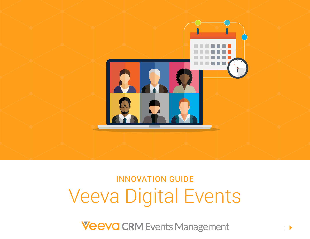

# INNOVATION GUIDE Veeva Digital Events

**Veeva CRM Events Management**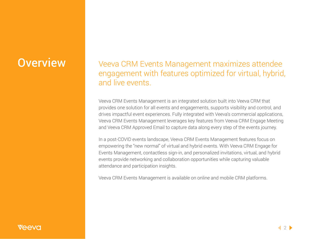## **Overview | Veeva CRM Events Management maximizes attendee** engagement with features optimized for virtual, hybrid, and live events.

Veeva CRM Events Management is an integrated solution built into Veeva CRM that provides one solution for all events and engagements, supports visibility and control, and drives impactful event experiences. Fully integrated with Veeva's commercial applications, Veeva CRM Events Management leverages key features from Veeva CRM Engage Meeting and Veeva CRM Approved Email to capture data along every step of the events journey.

In a post-COVID events landscape, Veeva CRM Events Management features focus on empowering the "new normal" of virtual and hybrid events. With Veeva CRM Engage for Events Management, contactless sign-in, and personalized invitations, virtual, and hybrid events provide networking and collaboration opportunities while capturing valuable attendance and participation insights.

Veeva CRM Events Management is available on online and mobile CRM platforms.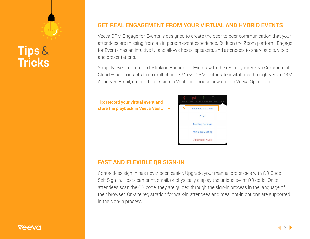## **Tips**& **Tricks**

#### **GET REAL ENGAGEMENT FROM YOUR VIRTUAL AND HYBRID EVENTS**

Veeva CRM Engage for Events is designed to create the peer-to-peer communication that your attendees are missing from an in-person event experience. Built on the Zoom platform, Engage for Events has an intuitive UI and allows hosts, speakers, and attendees to share audio, video, and presentations.

Simplify event execution by linking Engage for Events with the rest of your Veeva Commercial Cloud – pull contacts from multichannel Veeva CRM, automate invitations through Veeva CRM Approved Email, record the session in Vault, and house new data in Veeva OpenData.



#### **FAST AND FLEXIBLE QR SIGN-IN**

Contactless sign-in has never been easier. Upgrade your manual processes with QR Code Self Sign-in. Hosts can print, email, or physically display the unique event QR code. Once attendees scan the QR code, they are guided through the sign-in process in the language of their browser. On-site registration for walk-in attendees and meal opt-in options are supported in the sign-in process.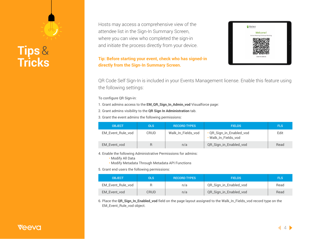## **Tips**& **Tricks**

Hosts may access a comprehensive view of the attendee list in the Sign-In Summary Screen, where you can view who completed the sign-in and initiate the process directly from your device.

#### **Tip: Before starting your event, check who has signed-in directly from the Sign-In Summary Screen.**

|          | Verteo                                      |  |
|----------|---------------------------------------------|--|
|          | Welcome!<br>Verteo Meeting Cholecap Meeting |  |
| $\alpha$ | <b>SCAN TO SIGN-IN</b>                      |  |

QR Code Self Sign-In is included in your Events Management license. Enable this feature using the following settings:

To configure QR Sign-in:

1. Grant admins access to the **EM\_QR\_Sign\_In\_Admin\_vod** Visualforce page:

2. Grant admins visibility to the **QR Sign In Administration** tab.

3. Grant the event admins the following permissions:

| <b>OBJECT</b>     | <b>OLS</b> | <b>RECORD TYPES</b> | <b>FIELDS</b>                                    | 'FLS. |
|-------------------|------------|---------------------|--------------------------------------------------|-------|
| EM_Event_Rule_vod | CRUD       | Walk_In_Fields_vod  | · QR_Sign_in_Enabled_vod<br>. Walk_In_Fields_vod | Edit  |
| EM_Event_vod      |            | n/a                 | QR_Sign_in_Enabled_vod                           | Read  |

4. Enable the following Administrative Permissions for admins:

• Modify All Data

• Modify Metadata Through Metadata API Functions

5. Grant end users the following permissions:

| <b>OBJECT</b>     | OLS  | <b>RECORD TYPES</b> | <b>FIELDS</b>          | <b>FLS</b> |
|-------------------|------|---------------------|------------------------|------------|
| EM_Event_Rule_vod |      | n/a                 | QR_Sign_in_Enabled_vod | Read       |
| EM Event vod      | CRUD | n/a                 | QR_Sign_in_Enabled_vod | Read       |

6. Place the **QR\_Sign\_In\_Enabled\_vod** field on the page layout assigned to the Walk\_In\_Fields\_vod record type on the EM\_Event\_Rule\_vod object.

### AAVC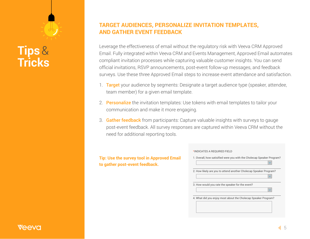## **Tips**& **Tricks**

#### **TARGET AUDIENCES, PERSONALIZE INVITATION TEMPLATES, AND GATHER EVENT FEEDBACK**

Leverage the effectiveness of email without the regulatory risk with Veeva CRM Approved Email. Fully integrated within Veeva CRM and Events Management, Approved Email automates compliant invitation processes while capturing valuable customer insights. You can send official invitations, RSVP announcements, post-event follow-up messages, and feedback surveys. Use these three Approved Email steps to increase event attendance and satisfaction.

- 1. Target your audience by segments: Designate a target audience type (speaker, attendee, team member) for a given email template.
- 2. Personalize the invitation templates: Use tokens with email templates to tailor your communication and make it more engaging.
- 3. Gather feedback from participants: Capture valuable insights with surveys to gauge post-event feedback. All survey responses are captured within Veeva CRM without the need for additional reporting tools.

**Tip: Use the survey tool in Approved Email to gather post-event feedback.**

| 2. How likely are you to attend another Cholecap Speaker Program? |  |
|-------------------------------------------------------------------|--|
| 3. How would you rate the speaker for the event?<br>$\checkmark$  |  |
| 4. What did you enjoy most about the Cholecap Speaker Program?    |  |